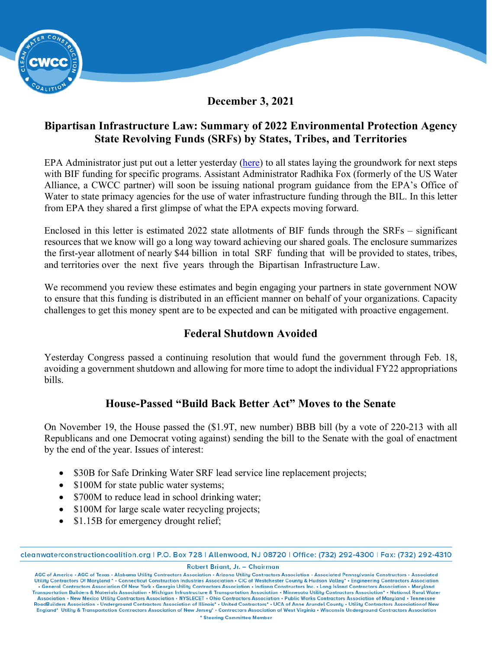

## **December 3, 2021**

## **Bipartisan Infrastructure Law: Summary of 2022 Environmental Protection Agency State Revolving Funds (SRFs) by States, Tribes, and Territories**

EPA Administrator just put out a letter yesterday [\(here\)](https://www.epa.gov/system/files/documents/2021-12/governors-bil-letter-final-508.pdf) to all states laying the groundwork for next steps with BIF funding for specific programs. Assistant Administrator Radhika Fox (formerly of the US Water Alliance, a CWCC partner) will soon be issuing national program guidance from the EPA's Office of Water to state primacy agencies for the use of water infrastructure funding through the BIL. In this letter from EPA they shared a first glimpse of what the EPA expects moving forward.

Enclosed in this letter is estimated 2022 state allotments of BIF funds through the SRFs – significant resources that we know will go a long way toward achieving our shared goals. The enclosure summarizes the first-year allotment of nearly \$44 billion in total SRF funding that will be provided to states, tribes, and territories over the next five years through the Bipartisan Infrastructure Law.

We recommend you review these estimates and begin engaging your partners in state government NOW to ensure that this funding is distributed in an efficient manner on behalf of your organizations. Capacity challenges to get this money spent are to be expected and can be mitigated with proactive engagement.

# **Federal Shutdown Avoided**

Yesterday Congress passed a continuing resolution that would fund the government through Feb. 18, avoiding a government shutdown and allowing for more time to adopt the individual FY22 appropriations bills.

### **House-Passed "Build Back Better Act" Moves to the Senate**

On November 19, the House passed the (\$1.9T, new number) BBB bill (by a vote of 220-213 with all Republicans and one Democrat voting against) sending the bill to the Senate with the goal of enactment by the end of the year. Issues of interest:

- \$30B for Safe Drinking Water SRF lead service line replacement projects;
- \$100M for state public water systems;
- \$700M to reduce lead in school drinking water;
- \$100M for large scale water recycling projects;
- \$1.15B for emergency drought relief;

Robert Briant, Jr. - Chairman

cleanwaterconstructioncoalition.org | P.O. Box 728 | Allenwood, NJ 08720 | Office: (732) 292-4300 | Fax: (732) 292-4310

AGC of America • AGC of Texas • Alabama Utility Contractors Association • Arizona Utility Contractors Association • Associated Pennsylvania Constructors • Associated Utility Contractors • Associated Utility Contractors Ass . General Contractors Association Of New York . Georgia Utility Contractors Association . Indiana Constructors Inc. . Long Island Contractors Association . Maryland Transportation Builders & Materials Association • Michigan Infrastructure & Transportation Association • Minnesota Utility Contractors Association\* • National Rural Water Association • New Mexico Utility Contractors Association • NYSLECET • Ohio Contractors Association • Public Works Contractors Association of Maryland • Tennessee<br>RoadBuilders Association • Underground Contractors Associati England\* Utility & Transportation Contractors Association of New Jersey\* . Contractors Association of West Virginia . Wisconsin Underground Contractors Association \* Steering Committee Member